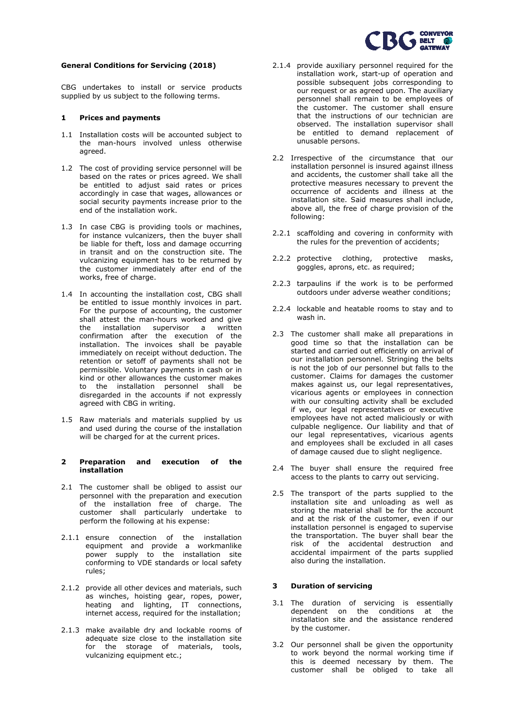

# **General Conditions for Servicing (2018)**

CBG undertakes to install or service products supplied by us subject to the following terms.

## **1 Prices and payments**

- 1.1 Installation costs will be accounted subject to the man-hours involved unless otherwise agreed.
- 1.2 The cost of providing service personnel will be based on the rates or prices agreed. We shall be entitled to adjust said rates or prices accordingly in case that wages, allowances or social security payments increase prior to the end of the installation work.
- 1.3 In case CBG is providing tools or machines, for instance vulcanizers, then the buyer shall be liable for theft, loss and damage occurring in transit and on the construction site. The vulcanizing equipment has to be returned by the customer immediately after end of the works, free of charge.
- 1.4 In accounting the installation cost, CBG shall be entitled to issue monthly invoices in part. For the purpose of accounting, the customer shall attest the man-hours worked and give<br>the installation supervisor a written installation supervisor a written confirmation after the execution of the installation. The invoices shall be payable immediately on receipt without deduction. The retention or setoff of payments shall not be permissible. Voluntary payments in cash or in kind or other allowances the customer makes to the installation personnel shall be disregarded in the accounts if not expressly agreed with CBG in writing.
- 1.5 Raw materials and materials supplied by us and used during the course of the installation will be charged for at the current prices.

### **2 Preparation and execution of the installation**

- 2.1 The customer shall be obliged to assist our personnel with the preparation and execution of the installation free of charge. The customer shall particularly undertake to perform the following at his expense:
- 2.1.1 ensure connection of the installation equipment and provide a workmanlike power supply to the installation site conforming to VDE standards or local safety rules;
- 2.1.2 provide all other devices and materials, such as winches, hoisting gear, ropes, power, heating and lighting, IT connections, internet access, required for the installation;
- 2.1.3 make available dry and lockable rooms of adequate size close to the installation site for the storage of materials, tools, vulcanizing equipment etc.;
- 2.1.4 provide auxiliary personnel required for the installation work, start-up of operation and possible subsequent jobs corresponding to our request or as agreed upon. The auxiliary personnel shall remain to be employees of the customer. The customer shall ensure that the instructions of our technician are observed. The installation supervisor shall be entitled to demand replacement of unusable persons.
- 2.2 Irrespective of the circumstance that our installation personnel is insured against illness and accidents, the customer shall take all the protective measures necessary to prevent the occurrence of accidents and illness at the installation site. Said measures shall include, above all, the free of charge provision of the following:
- 2.2.1 scaffolding and covering in conformity with the rules for the prevention of accidents;
- 2.2.2 protective clothing, protective masks, goggles, aprons, etc. as required;
- 2.2.3 tarpaulins if the work is to be performed outdoors under adverse weather conditions;
- 2.2.4 lockable and heatable rooms to stay and to wash in.
- 2.3 The customer shall make all preparations in good time so that the installation can be started and carried out efficiently on arrival of our installation personnel. Stringing the belts is not the job of our personnel but falls to the customer. Claims for damages the customer makes against us, our legal representatives, vicarious agents or employees in connection with our consulting activity shall be excluded if we, our legal representatives or executive employees have not acted maliciously or with culpable negligence. Our liability and that of our legal representatives, vicarious agents and employees shall be excluded in all cases of damage caused due to slight negligence.
- 2.4 The buyer shall ensure the required free access to the plants to carry out servicing.
- 2.5 The transport of the parts supplied to the installation site and unloading as well as storing the material shall be for the account and at the risk of the customer, even if our installation personnel is engaged to supervise the transportation. The buyer shall bear the risk of the accidental destruction and accidental impairment of the parts supplied also during the installation.

# **3 Duration of servicing**

- 3.1 The duration of servicing is essentially dependent on the conditions at the installation site and the assistance rendered by the customer.
- 3.2 Our personnel shall be given the opportunity to work beyond the normal working time if this is deemed necessary by them. The customer shall be obliged to take all